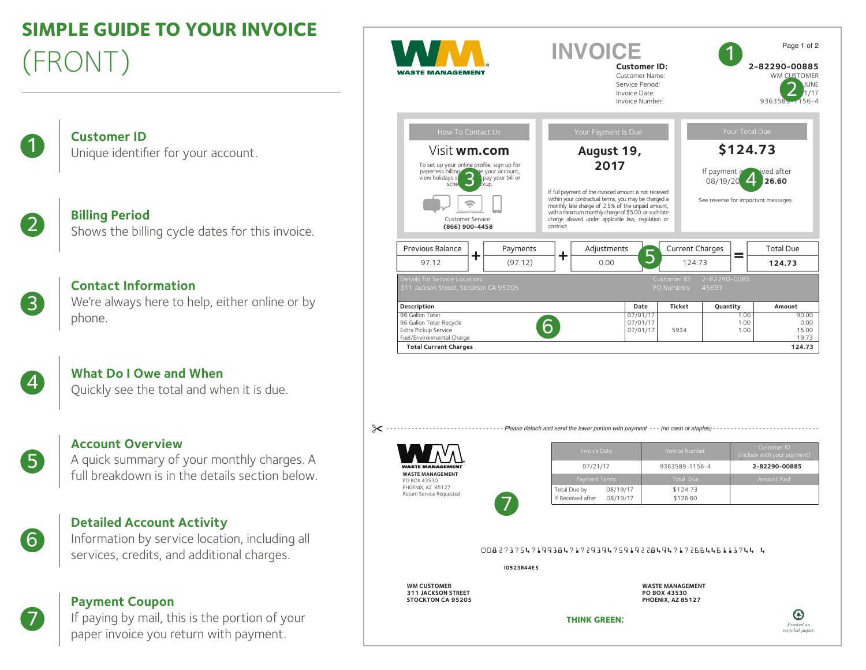# **SIMPLE GUIDE TO YOUR INVOICE** (FRONT)

| $\overline{a}$ | <b>Customer ID</b>                  |
|----------------|-------------------------------------|
|                | Unique identifier for your account. |

**Billing Period**<br>Shows the billing cycle dates for this invoice.



 $\mathbf{I}$ 

**Contact Information** We're always here to help, either online or by phone.

**What Do I Owe and When**<br>Quickly see the total and when it is due.



6

7

# **Account Overview**

A quick summary of your monthly charges. A full breakdown is in the details section below.

# **Detailed Account Activity**

Information by service location, including all services, credits, and additional charges.

# **Payment Coupon**

If paying by mail, this is the portion of your paper invoice you return with payment.